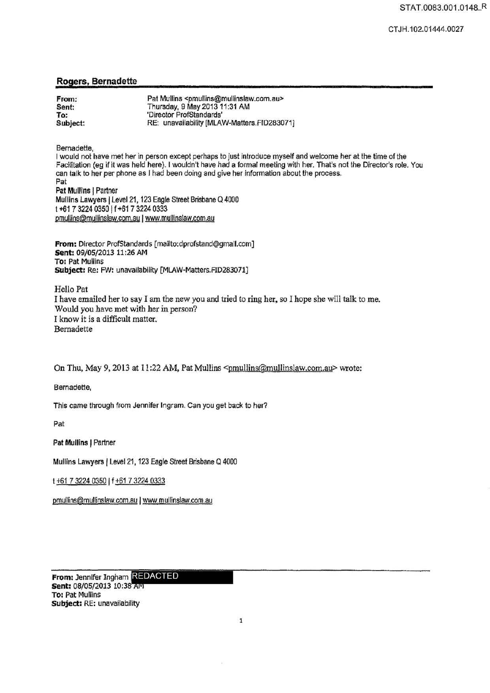## Rogers, Bernadette

| From:    | Pat Mullins <pmullins@mullinslaw.com.au></pmullins@mullinslaw.com.au> |
|----------|-----------------------------------------------------------------------|
| Sent:    | Thursday, 9 May 2013 11:31 AM                                         |
| To:      | 'Director ProfStandards'                                              |
| Subject: | RE: unavailability [MLAW-Matters.FID283071]                           |

Bernadette,

I would not have met her in person except perhaps to just introduce myself and welcome her at the time of the Facifitation (eg if it was held here). I wouldn't have had a formal meeting with her. That's not the Director's role. You can talk to her per phone as J had been doing and give her information about the process. Pat Pat Mullins | Partner Mullins Lawyers | Level 21, 123 Eagle Street Brisbane Q 4000 t +61 7 3224 0350 | f +61 7 3224 0333 pmuffins@mullinsfaw.com.au I www.mulfinsfaw.com.au

From: Director ProfStandards [mailto:dprofstand@gmall.com] Sent: 09/05/2013 11:26 AM To: Pat Mullins Subject: Re: FW: unavailability [MLAW·Matters.FID283071]

Hello Pat I have emailed her to say I am the new you and tried to ring her, so I hope she will talk to me. Would you have met with her in person? I know it is a difficult matter. Bernadette

On Thu, May 9, 2013 at 11:22 AM, Pat Mullins  $\leq$ mullins $@$ mullinslaw.com.au $\geq$  wrote:

Bernadette,

This came through from Jennifer Ingram. Can you get back to her?

Pat

Pat Mullins | Partner

Mullins Lawyers | Level 21, 123 Eagle Street Brisbane Q 4000

t +61 7 3224 0350 | f +61 7 3224 0333

pmullins@mullinslaw.com.au | www.mullinslaw.com.au

From: Jennifer Ingham **REDACTED**<br>**Sent:** 08/05/2013 10:38 AM To: Pat Mullins Subject: RE: unavailability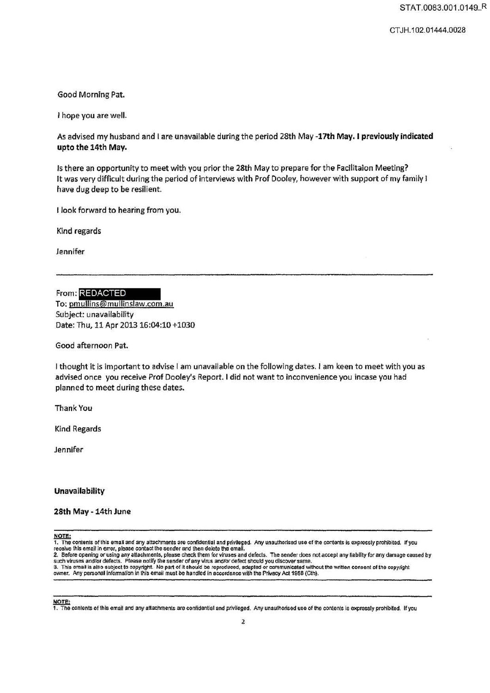CT JH.102.01444.0028

Good Morning Pat.

I hope you are well.

As advised my husband and I are unavailable during the period 28th May -17th May. I previously indicated upto the 14th May.

Is there an opportunity to meet with you prior the 28th May to prepare for the Facllitaion Meeting? It was very difficult during the period of interviews with Prof Dooley, however with support of my family I have dug deep to be resilient.

I look forward to hearing from you.

Kind regards

Jennifer

From: REDACTED To: pmullins@mullinslaw.com.au Subject: unavailability Date: Thu, 11 Apr 2013 16:04:10 +1030

Good afternoon Pat.

I thought it is Important to advise I am unavailable on the following dates. I am keen to meet with you as advised once you receive Prof Dooley's Report. I did not want to inconvenience you incase you had planned to meet during these dates.

Thank You

Kind Regards

Jennifer

## Unavailability

## 28th May - 14th June

NOTE:

1. The contents of this email and any attachments are confidential and privileged. Any unauthorised use of the contents is expressly prohibited. If you<br>receive this email in error, please contact the sender and then delete

2. Before opening or using any attachments, please check them for viruses and defects. The sender does not accept any liability for any damage caused by such viruses and/or defects. Please notify the sender of any virus and/or defect should you discover same.<br>3. This email is also subject to copyright. No part of it should be reproduced, adapted or communicated without the

owner. Any personal lnfonnation in lhis email must be handled in accordance with the Privacy Act 198B (Cth).

NOTE:<br>1. The contents of this email and any attachments are confidential and privileged. Any unauthorised use of the contents is expressly prohibited. If you